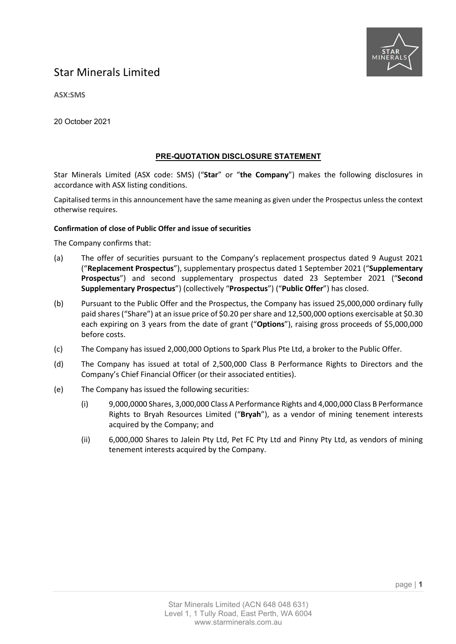

## Star Minerals Limited

**ASX:SMS**

20 October 2021

## **PRE-QUOTATION DISCLOSURE STATEMENT**

Star Minerals Limited (ASX code: SMS) ("**Star**" or "**the Company**") makes the following disclosures in accordance with ASX listing conditions.

Capitalised terms in this announcement have the same meaning as given under the Prospectus unless the context otherwise requires.

#### **Confirmation of close of Public Offer and issue of securities**

The Company confirms that:

- (a) The offer of securities pursuant to the Company's replacement prospectus dated 9 August 2021 ("**Replacement Prospectus**"), supplementary prospectus dated 1 September 2021 ("**Supplementary Prospectus**") and second supplementary prospectus dated 23 September 2021 ("**Second Supplementary Prospectus**") (collectively "**Prospectus**") ("**Public Offer**") has closed.
- (b) Pursuant to the Public Offer and the Prospectus, the Company has issued 25,000,000 ordinary fully paid shares ("Share") at an issue price of \$0.20 per share and 12,500,000 options exercisable at \$0.30 each expiring on 3 years from the date of grant ("**Options**"), raising gross proceeds of \$5,000,000 before costs.
- (c) The Company has issued 2,000,000 Options to Spark Plus Pte Ltd, a broker to the Public Offer.
- (d) The Company has issued at total of 2,500,000 Class B Performance Rights to Directors and the Company's Chief Financial Officer (or their associated entities).
- (e) The Company has issued the following securities:
	- (i) 9,000,0000 Shares, 3,000,000 Class A Performance Rights and 4,000,000 Class B Performance Rights to Bryah Resources Limited ("**Bryah**"), as a vendor of mining tenement interests acquired by the Company; and
	- (ii) 6,000,000 Shares to Jalein Pty Ltd, Pet FC Pty Ltd and Pinny Pty Ltd, as vendors of mining tenement interests acquired by the Company.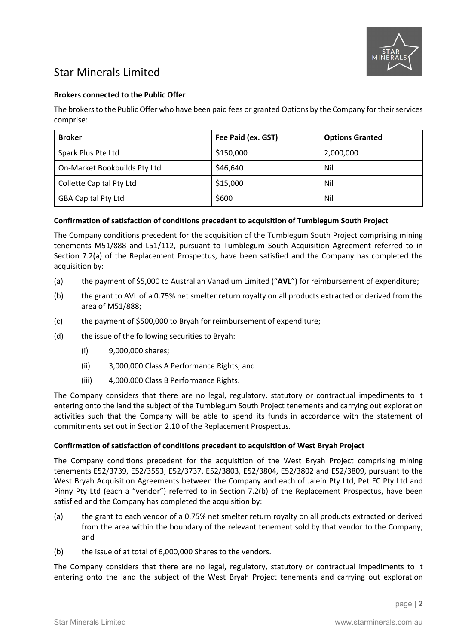

# Star Minerals Limited

### **Brokers connected to the Public Offer**

The brokers to the Public Offer who have been paid fees or granted Options by the Company for their services comprise:

| <b>Broker</b>                | Fee Paid (ex. GST) | <b>Options Granted</b> |
|------------------------------|--------------------|------------------------|
| Spark Plus Pte Ltd           | \$150,000          | 2,000,000              |
| On-Market Bookbuilds Pty Ltd | \$46,640           | Nil                    |
| Collette Capital Pty Ltd     | \$15,000           | Nil                    |
| <b>GBA Capital Pty Ltd</b>   | \$600              | Nil                    |

### **Confirmation of satisfaction of conditions precedent to acquisition of Tumblegum South Project**

The Company conditions precedent for the acquisition of the Tumblegum South Project comprising mining tenements M51/888 and L51/112, pursuant to Tumblegum South Acquisition Agreement referred to in Section 7.2(a) of the Replacement Prospectus, have been satisfied and the Company has completed the acquisition by:

- (a) the payment of \$5,000 to Australian Vanadium Limited ("**AVL**") for reimbursement of expenditure;
- (b) the grant to AVL of a 0.75% net smelter return royalty on all products extracted or derived from the area of M51/888;
- (c) the payment of \$500,000 to Bryah for reimbursement of expenditure;
- (d) the issue of the following securities to Bryah:
	- (i) 9,000,000 shares;
	- (ii) 3,000,000 Class A Performance Rights; and
	- (iii) 4,000,000 Class B Performance Rights.

The Company considers that there are no legal, regulatory, statutory or contractual impediments to it entering onto the land the subject of the Tumblegum South Project tenements and carrying out exploration activities such that the Company will be able to spend its funds in accordance with the statement of commitments set out in Section 2.10 of the Replacement Prospectus.

#### **Confirmation of satisfaction of conditions precedent to acquisition of West Bryah Project**

The Company conditions precedent for the acquisition of the West Bryah Project comprising mining tenements E52/3739, E52/3553, E52/3737, E52/3803, E52/3804, E52/3802 and E52/3809, pursuant to the West Bryah Acquisition Agreements between the Company and each of Jalein Pty Ltd, Pet FC Pty Ltd and Pinny Pty Ltd (each a "vendor") referred to in Section 7.2(b) of the Replacement Prospectus, have been satisfied and the Company has completed the acquisition by:

- (a) the grant to each vendor of a 0.75% net smelter return royalty on all products extracted or derived from the area within the boundary of the relevant tenement sold by that vendor to the Company; and
- (b) the issue of at total of 6,000,000 Shares to the vendors.

The Company considers that there are no legal, regulatory, statutory or contractual impediments to it entering onto the land the subject of the West Bryah Project tenements and carrying out exploration